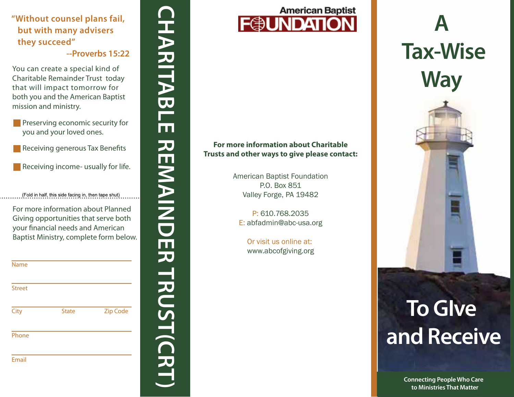# **"Without counsel plans fail, but with many advisers they succeed"**

- **Preserving economic security for** you and your loved ones.
- **Receiving generous Tax Benefits**
- Receiving income- usually for life.

|                                                                                                                                                                     | "Without counsel plans fail,<br>but with many advisers |                                                                                                                      |  |
|---------------------------------------------------------------------------------------------------------------------------------------------------------------------|--------------------------------------------------------|----------------------------------------------------------------------------------------------------------------------|--|
| they succeed"                                                                                                                                                       |                                                        |                                                                                                                      |  |
|                                                                                                                                                                     |                                                        | --Proverbs 15:22                                                                                                     |  |
| You can create a special kind of<br>Charitable Remainder Trust today<br>that will impact tomorrow for<br>both you and the American Baptist<br>mission and ministry. |                                                        |                                                                                                                      |  |
| Preserving economic security for<br>you and your loved ones.                                                                                                        |                                                        |                                                                                                                      |  |
| Receiving generous Tax Benefits                                                                                                                                     |                                                        |                                                                                                                      |  |
| Receiving income- usually for life.                                                                                                                                 |                                                        |                                                                                                                      |  |
|                                                                                                                                                                     | (Fold in half, this side facing in, then tape shut)    |                                                                                                                      |  |
|                                                                                                                                                                     | your financial needs and American                      | For more information about Planned<br>Giving opportunities that serve both<br>Baptist Ministry, complete form below. |  |
| <b>Name</b>                                                                                                                                                         |                                                        |                                                                                                                      |  |
| <b>Street</b>                                                                                                                                                       |                                                        |                                                                                                                      |  |
| City                                                                                                                                                                | <b>State</b>                                           | <b>Zip Code</b>                                                                                                      |  |
| Phone                                                                                                                                                               |                                                        |                                                                                                                      |  |
| <b>Email</b>                                                                                                                                                        |                                                        |                                                                                                                      |  |



### **For more information about Charitable Trusts and other ways to give please contact:**

American Baptist Foundation P.O. Box 851 Valley Forge, PA 19482

P: 610.768.2035 E: abfadmin@abc-usa.org

Or visit us online at: www.abcofgiving.org

# **A Tax-Wise Way**

# **To GIve and Receive**

**Connecting People Who Care to Ministries That Matter**